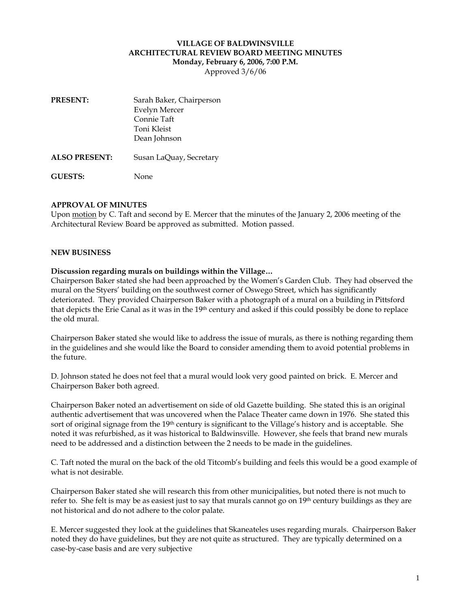# **VILLAGE OF BALDWINSVILLE ARCHITECTURAL REVIEW BOARD MEETING MINUTES Monday, February 6, 2006, 7:00 P.M.**

Approved 3/6/06

| <b>PRESENT:</b>      | Sarah Baker, Chairperson |
|----------------------|--------------------------|
|                      | <b>Evelyn Mercer</b>     |
|                      | Connie Taft              |
|                      | Toni Kleist              |
|                      | Dean Johnson             |
| <b>ALSO PRESENT:</b> | Susan LaQuay, Secretary  |

**GUESTS:** None

### **APPROVAL OF MINUTES**

Upon motion by C. Taft and second by E. Mercer that the minutes of the January 2, 2006 meeting of the Architectural Review Board be approved as submitted. Motion passed.

#### **NEW BUSINESS**

#### **Discussion regarding murals on buildings within the Village…**

Chairperson Baker stated she had been approached by the Women's Garden Club. They had observed the mural on the Styers' building on the southwest corner of Oswego Street, which has significantly deteriorated. They provided Chairperson Baker with a photograph of a mural on a building in Pittsford that depicts the Erie Canal as it was in the 19<sup>th</sup> century and asked if this could possibly be done to replace the old mural.

Chairperson Baker stated she would like to address the issue of murals, as there is nothing regarding them in the guidelines and she would like the Board to consider amending them to avoid potential problems in the future.

D. Johnson stated he does not feel that a mural would look very good painted on brick. E. Mercer and Chairperson Baker both agreed.

Chairperson Baker noted an advertisement on side of old Gazette building. She stated this is an original authentic advertisement that was uncovered when the Palace Theater came down in 1976. She stated this sort of original signage from the 19<sup>th</sup> century is significant to the Village's history and is acceptable. She noted it was refurbished, as it was historical to Baldwinsville. However, she feels that brand new murals need to be addressed and a distinction between the 2 needs to be made in the guidelines.

C. Taft noted the mural on the back of the old Titcomb's building and feels this would be a good example of what is not desirable.

Chairperson Baker stated she will research this from other municipalities, but noted there is not much to refer to. She felt is may be as easiest just to say that murals cannot go on 19<sup>th</sup> century buildings as they are not historical and do not adhere to the color palate.

E. Mercer suggested they look at the guidelines that Skaneateles uses regarding murals. Chairperson Baker noted they do have guidelines, but they are not quite as structured. They are typically determined on a case-by-case basis and are very subjective